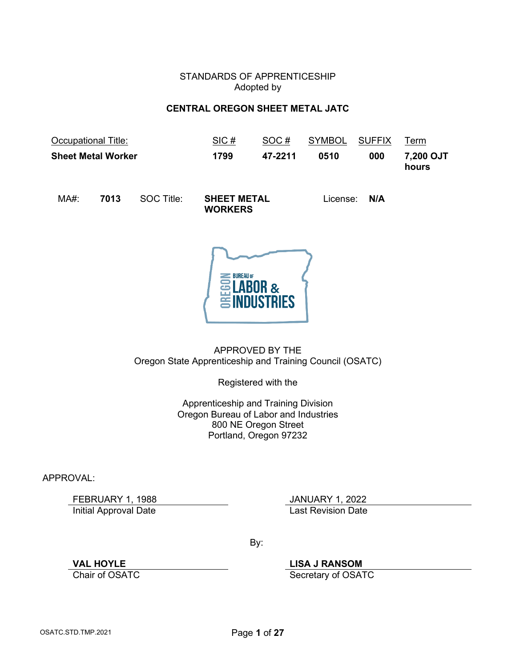## STANDARDS OF APPRENTICESHIP Adopted by

## **CENTRAL OREGON SHEET METAL JATC**

<span id="page-0-0"></span>

|     | Occupational Title:       |            | SIC#                                 | SOC#    | <b>SYMBOL</b> | <b>SUFFIX</b> | Term               |
|-----|---------------------------|------------|--------------------------------------|---------|---------------|---------------|--------------------|
|     | <b>Sheet Metal Worker</b> |            | 1799                                 | 47-2211 | 0510          | 000           | 7,200 OJT<br>hours |
| MA# | 7013                      | SOC Title: | <b>SHEET METAL</b><br><b>WORKERS</b> |         |               | License: N/A  |                    |



APPROVED BY THE Oregon State Apprenticeship and Training Council (OSATC)

Registered with the

Apprenticeship and Training Division Oregon Bureau of Labor and Industries 800 NE Oregon Street Portland, Oregon 97232

APPROVAL:

FEBRUARY 1, 1988<br>
Initial Approval Date<br>
Initial Approval Date **Initial Approval Date** 

By:

**VAL HOYLE LISA J RANSOM**

Secretary of OSATC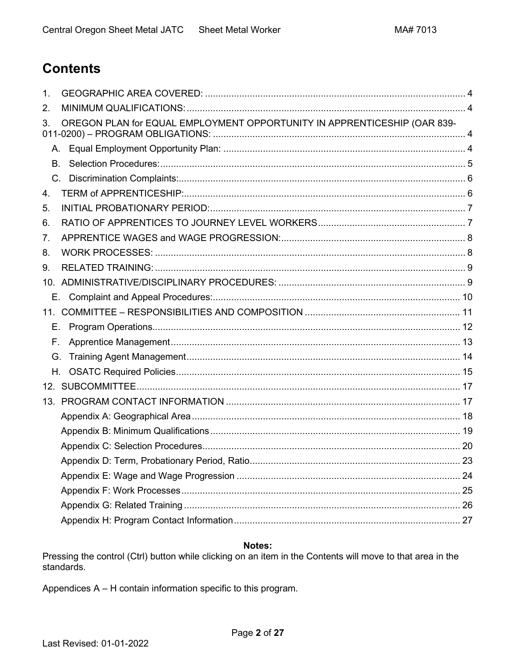# <span id="page-1-0"></span>**Contents**

| 1.        |                                                                          |  |
|-----------|--------------------------------------------------------------------------|--|
| 2.        |                                                                          |  |
| 3.        | OREGON PLAN for EQUAL EMPLOYMENT OPPORTUNITY IN APPRENTICESHIP (OAR 839- |  |
| A.        |                                                                          |  |
| <b>B.</b> |                                                                          |  |
|           |                                                                          |  |
| 4.        |                                                                          |  |
| 5.        |                                                                          |  |
| 6.        |                                                                          |  |
| 7.        |                                                                          |  |
| 8.        |                                                                          |  |
| 9.        |                                                                          |  |
|           |                                                                          |  |
|           |                                                                          |  |
|           |                                                                          |  |
| Е.        |                                                                          |  |
| Е.        |                                                                          |  |
| G.        |                                                                          |  |
| H.        |                                                                          |  |
|           |                                                                          |  |
|           |                                                                          |  |
|           |                                                                          |  |
|           |                                                                          |  |
|           |                                                                          |  |
|           |                                                                          |  |
|           |                                                                          |  |
|           |                                                                          |  |
|           |                                                                          |  |
|           |                                                                          |  |

# Notes:

Pressing the control (Ctrl) button while clicking on an item in the Contents will move to that area in the standards.

Appendices A - H contain information specific to this program.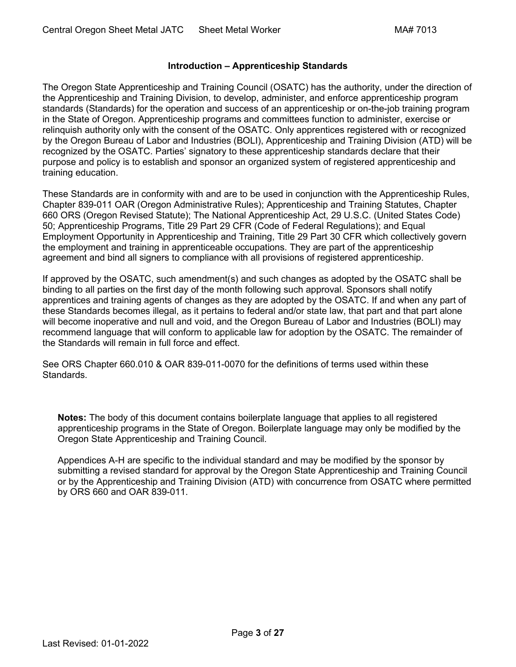## **Introduction – Apprenticeship Standards**

The Oregon State Apprenticeship and Training Council (OSATC) has the authority, under the direction of the Apprenticeship and Training Division, to develop, administer, and enforce apprenticeship program standards (Standards) for the operation and success of an apprenticeship or on-the-job training program in the State of Oregon. Apprenticeship programs and committees function to administer, exercise or relinquish authority only with the consent of the OSATC. Only apprentices registered with or recognized by the Oregon Bureau of Labor and Industries (BOLI), Apprenticeship and Training Division (ATD) will be recognized by the OSATC. Parties' signatory to these apprenticeship standards declare that their purpose and policy is to establish and sponsor an organized system of registered apprenticeship and training education.

These Standards are in conformity with and are to be used in conjunction with the Apprenticeship Rules, Chapter 839-011 OAR (Oregon Administrative Rules); Apprenticeship and Training Statutes, Chapter 660 ORS (Oregon Revised Statute); The National Apprenticeship Act, 29 U.S.C. (United States Code) 50; Apprenticeship Programs, Title 29 Part 29 CFR (Code of Federal Regulations); and Equal Employment Opportunity in Apprenticeship and Training, Title 29 Part 30 CFR which collectively govern the employment and training in apprenticeable occupations. They are part of the apprenticeship agreement and bind all signers to compliance with all provisions of registered apprenticeship.

If approved by the OSATC, such amendment(s) and such changes as adopted by the OSATC shall be binding to all parties on the first day of the month following such approval. Sponsors shall notify apprentices and training agents of changes as they are adopted by the OSATC. If and when any part of these Standards becomes illegal, as it pertains to federal and/or state law, that part and that part alone will become inoperative and null and void, and the Oregon Bureau of Labor and Industries (BOLI) may recommend language that will conform to applicable law for adoption by the OSATC. The remainder of the Standards will remain in full force and effect.

See ORS Chapter 660.010 & OAR 839-011-0070 for the definitions of terms used within these Standards.

**Notes:** The body of this document contains boilerplate language that applies to all registered apprenticeship programs in the State of Oregon. Boilerplate language may only be modified by the Oregon State Apprenticeship and Training Council.

Appendices A-H are specific to the individual standard and may be modified by the sponsor by submitting a revised standard for approval by the Oregon State Apprenticeship and Training Council or by the Apprenticeship and Training Division (ATD) with concurrence from OSATC where permitted by ORS 660 and OAR 839-011.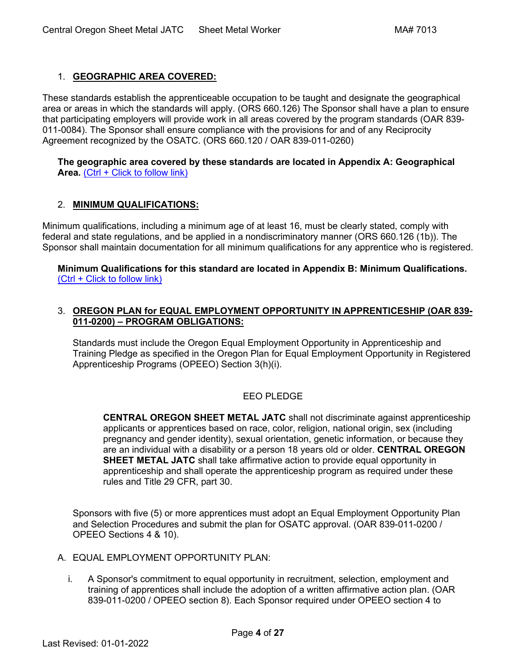# <span id="page-3-0"></span>1. **[GEOGRAPHIC AREA COVERED:](#page-1-0)**

These standards establish the apprenticeable occupation to be taught and designate the geographical area or areas in which the standards will apply. (ORS 660.126) The Sponsor shall have a plan to ensure that participating employers will provide work in all areas covered by the program standards (OAR 839- 011-0084). The Sponsor shall ensure compliance with the provisions for and of any Reciprocity Agreement recognized by the OSATC. (ORS 660.120 / OAR 839-011-0260)

#### **[The geographic area covered by these standards are](#page-17-0) located in Appendix A: Geographical**  [Area.](#page-17-0) [\(Ctrl + Click to follow link\)](#page-17-0)

# <span id="page-3-1"></span>2. **[MINIMUM QUALIFICATIONS:](#page-1-0)**

Minimum qualifications, including a minimum age of at least 16, must be clearly stated, comply with federal and state regulations, and be applied in a nondiscriminatory manner (ORS 660.126 (1b)). The Sponsor shall maintain documentation for all minimum qualifications for any apprentice who is registered.

**[Minimum Qualifications for this standard are located in Appendix B: Minimum Qualifications.](#page-18-0)** [\(Ctrl + Click to follow link\)](#page-18-0)

## <span id="page-3-2"></span>3. **[OREGON PLAN for EQUAL EMPLOYMENT OPPORTUNITY IN APPRENTICESHIP \(OAR 839-](#page-1-0) 011-0200) – [PROGRAM OBLIGATIONS:](#page-1-0)**

Standards must include the Oregon Equal Employment Opportunity in Apprenticeship and Training Pledge as specified in the Oregon Plan for Equal Employment Opportunity in Registered Apprenticeship Programs (OPEEO) Section 3(h)(i).

# EEO PLEDGE

**CENTRAL OREGON SHEET METAL JATC** shall not discriminate against apprenticeship applicants or apprentices based on race, color, religion, national origin, sex (including pregnancy and gender identity), sexual orientation, genetic information, or because they are an individual with a disability or a person 18 years old or older. **CENTRAL OREGON SHEET METAL JATC** shall take affirmative action to provide equal opportunity in apprenticeship and shall operate the apprenticeship program as required under these rules and Title 29 CFR, part 30.

Sponsors with five (5) or more apprentices must adopt an Equal Employment Opportunity Plan and Selection Procedures and submit the plan for OSATC approval. (OAR 839-011-0200 / OPEEO Sections 4 & 10).

- <span id="page-3-3"></span>A. EQUAL EMPLOYMENT OPPORTUNITY PLAN:
	- i. A Sponsor's commitment to equal opportunity in recruitment, selection, employment and training of apprentices shall include the adoption of a written affirmative action plan. (OAR 839-011-0200 / OPEEO section 8). Each Sponsor required under OPEEO section 4 to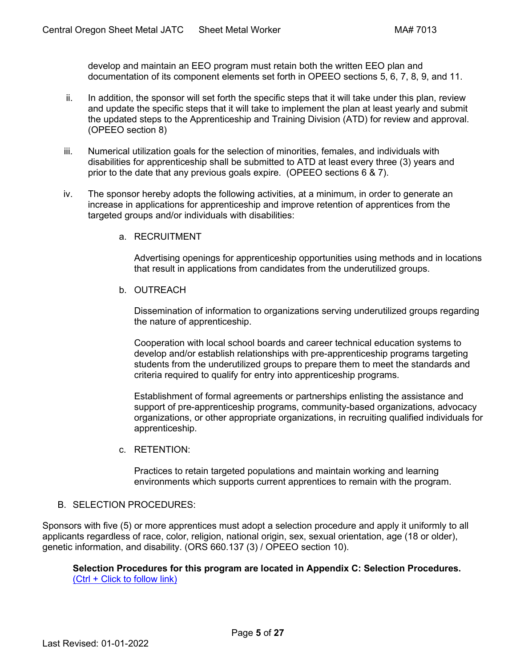develop and maintain an EEO program must retain both the written EEO plan and documentation of its component elements set forth in OPEEO sections 5, 6, 7, 8, 9, and 11.

- ii. In addition, the sponsor will set forth the specific steps that it will take under this plan, review and update the specific steps that it will take to implement the plan at least yearly and submit the updated steps to the Apprenticeship and Training Division (ATD) for review and approval. (OPEEO section 8)
- iii. Numerical utilization goals for the selection of minorities, females, and individuals with disabilities for apprenticeship shall be submitted to ATD at least every three (3) years and prior to the date that any previous goals expire. (OPEEO sections 6 & 7).
- iv. The sponsor hereby adopts the following activities, at a minimum, in order to generate an increase in applications for apprenticeship and improve retention of apprentices from the targeted groups and/or individuals with disabilities:
	- a. RECRUITMENT

Advertising openings for apprenticeship opportunities using methods and in locations that result in applications from candidates from the underutilized groups.

b. OUTREACH

Dissemination of information to organizations serving underutilized groups regarding the nature of apprenticeship.

Cooperation with local school boards and career technical education systems to develop and/or establish relationships with pre-apprenticeship programs targeting students from the underutilized groups to prepare them to meet the standards and criteria required to qualify for entry into apprenticeship programs.

Establishment of formal agreements or partnerships enlisting the assistance and support of pre-apprenticeship programs, community-based organizations, advocacy organizations, or other appropriate organizations, in recruiting qualified individuals for apprenticeship.

c. RETENTION:

Practices to retain targeted populations and maintain working and learning environments which supports current apprentices to remain with the program.

# <span id="page-4-0"></span>B. SELECTION PROCEDURES:

Sponsors with five (5) or more apprentices must adopt a selection procedure and apply it uniformly to all applicants regardless of race, color, religion, national origin, sex, sexual orientation, age (18 or older), genetic information, and disability. (ORS 660.137 (3) / OPEEO section 10).

**[Selection Procedures for this program are located in Appendix C: Selection Procedures.](#page-19-0)** [\(Ctrl + Click to follow link\)](#page-19-0)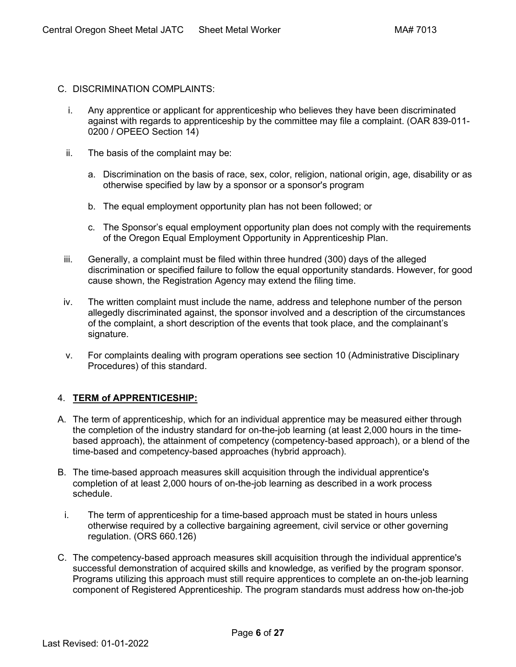- <span id="page-5-0"></span>C. DISCRIMINATION COMPLAINTS:
	- i. Any apprentice or applicant for apprenticeship who believes they have been discriminated against with regards to apprenticeship by the committee may file a complaint. (OAR 839-011- 0200 / OPEEO Section 14)
	- ii. The basis of the complaint may be:
		- a. Discrimination on the basis of race, sex, color, religion, national origin, age, disability or as otherwise specified by law by a sponsor or a sponsor's program
		- b. The equal employment opportunity plan has not been followed; or
		- c. The Sponsor's equal employment opportunity plan does not comply with the requirements of the Oregon Equal Employment Opportunity in Apprenticeship Plan.
	- iii. Generally, a complaint must be filed within three hundred (300) days of the alleged discrimination or specified failure to follow the equal opportunity standards. However, for good cause shown, the Registration Agency may extend the filing time.
	- iv. The written complaint must include the name, address and telephone number of the person allegedly discriminated against, the sponsor involved and a description of the circumstances of the complaint, a short description of the events that took place, and the complainant's signature.
	- v. For complaints dealing with program operations see section 10 (Administrative Disciplinary Procedures) of this standard.

# <span id="page-5-1"></span>4. **[TERM of APPRENTICESHIP:](#page-1-0)**

- A. The term of apprenticeship, which for an individual apprentice may be measured either through the completion of the industry standard for on-the-job learning (at least 2,000 hours in the timebased approach), the attainment of competency (competency-based approach), or a blend of the time-based and competency-based approaches (hybrid approach).
- B. The time-based approach measures skill acquisition through the individual apprentice's completion of at least 2,000 hours of on-the-job learning as described in a work process schedule.
	- i. The term of apprenticeship for a time-based approach must be stated in hours unless otherwise required by a collective bargaining agreement, civil service or other governing regulation. (ORS 660.126)
- C. The competency-based approach measures skill acquisition through the individual apprentice's successful demonstration of acquired skills and knowledge, as verified by the program sponsor. Programs utilizing this approach must still require apprentices to complete an on-the-job learning component of Registered Apprenticeship. The program standards must address how on-the-job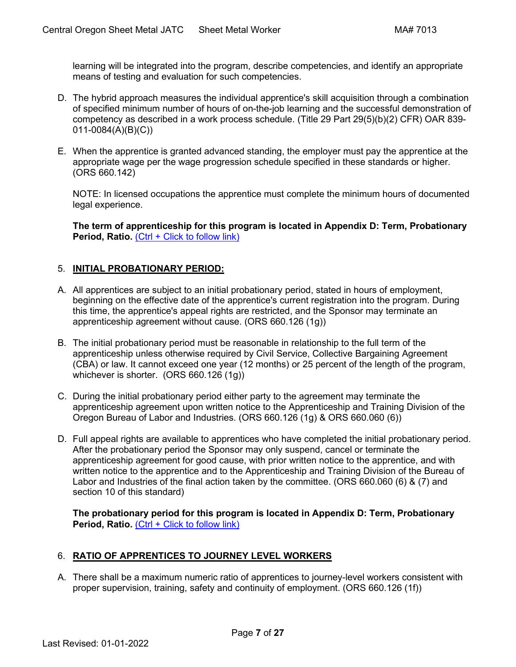learning will be integrated into the program, describe competencies, and identify an appropriate means of testing and evaluation for such competencies.

- D. The hybrid approach measures the individual apprentice's skill acquisition through a combination of specified minimum number of hours of on-the-job learning and the successful demonstration of competency as described in a work process schedule. (Title 29 Part 29(5)(b)(2) CFR) OAR 839- 011-0084(A)(B)(C))
- E. When the apprentice is granted advanced standing, the employer must pay the apprentice at the appropriate wage per the wage progression schedule specified in these standards or higher. (ORS 660.142)

NOTE: In licensed occupations the apprentice must complete the minimum hours of documented legal experience.

**[The term of apprenticeship for this program is located in Appendix D: Term, Probationary](#page-22-0)  [Period, Ratio.](#page-22-0)** [\(Ctrl + Click to follow link\)](#page-22-0)

# <span id="page-6-0"></span>5. **[INITIAL PROBATIONARY PERIOD:](#page-1-0)**

- A. All apprentices are subject to an initial probationary period, stated in hours of employment, beginning on the effective date of the apprentice's current registration into the program. During this time, the apprentice's appeal rights are restricted, and the Sponsor may terminate an apprenticeship agreement without cause. (ORS 660.126 (1g))
- B. The initial probationary period must be reasonable in relationship to the full term of the apprenticeship unless otherwise required by Civil Service, Collective Bargaining Agreement (CBA) or law. It cannot exceed one year (12 months) or 25 percent of the length of the program, whichever is shorter. (ORS 660.126 (1g))
- C. During the initial probationary period either party to the agreement may terminate the apprenticeship agreement upon written notice to the Apprenticeship and Training Division of the Oregon Bureau of Labor and Industries. (ORS 660.126 (1g) & ORS 660.060 (6))
- D. Full appeal rights are available to apprentices who have completed the initial probationary period. After the probationary period the Sponsor may only suspend, cancel or terminate the apprenticeship agreement for good cause, with prior written notice to the apprentice, and with written notice to the apprentice and to the Apprenticeship and Training Division of the Bureau of Labor and Industries of the final action taken by the committee. (ORS 660.060 (6) & (7) and section 10 of this standard)

**[The probationary period for this program is located in Appendix D: Term, Probationary](#page-22-0)  [Period, Ratio.](#page-22-0)** [\(Ctrl + Click to follow link\)](#page-22-0)

# <span id="page-6-1"></span>6. **[RATIO OF APPRENTICES TO JOURNEY LEVEL WORKERS](#page-1-0)**

A. There shall be a maximum numeric ratio of apprentices to journey-level workers consistent with proper supervision, training, safety and continuity of employment. (ORS 660.126 (1f))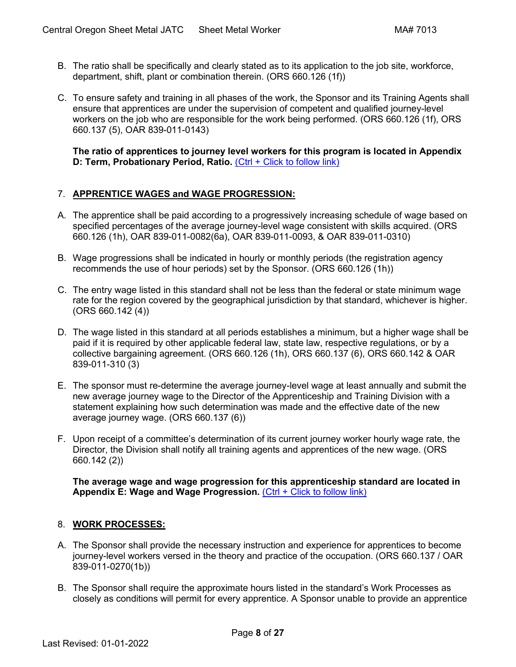- B. The ratio shall be specifically and clearly stated as to its application to the job site, workforce, department, shift, plant or combination therein. (ORS 660.126 (1f))
- C. To ensure safety and training in all phases of the work, the Sponsor and its Training Agents shall ensure that apprentices are under the supervision of competent and qualified journey-level workers on the job who are responsible for the work being performed. (ORS 660.126 (1f), ORS 660.137 (5), OAR 839-011-0143)

**[The ratio of apprentices to journey level workers for this program is located in Appendix](#page-22-0)  [D: Term, Probationary Period, Ratio.](#page-22-0) [\(Ctrl + Click to follow link\)](#page-22-0)** 

# <span id="page-7-0"></span>7. **[APPRENTICE WAGES and WAGE PROGRESSION:](#page-1-0)**

- A. The apprentice shall be paid according to a progressively increasing schedule of wage based on specified percentages of the average journey-level wage consistent with skills acquired. (ORS 660.126 (1h), OAR 839-011-0082(6a), OAR 839-011-0093, & OAR 839-011-0310)
- B. Wage progressions shall be indicated in hourly or monthly periods (the registration agency recommends the use of hour periods) set by the Sponsor. (ORS 660.126 (1h))
- C. The entry wage listed in this standard shall not be less than the federal or state minimum wage rate for the region covered by the geographical jurisdiction by that standard, whichever is higher.  $(ORS 660.142 (4))$
- D. The wage listed in this standard at all periods establishes a minimum, but a higher wage shall be paid if it is required by other applicable federal law, state law, respective regulations, or by a collective bargaining agreement. (ORS 660.126 (1h), ORS 660.137 (6), ORS 660.142 & OAR 839-011-310 (3)
- E. The sponsor must re-determine the average journey-level wage at least annually and submit the new average journey wage to the Director of the Apprenticeship and Training Division with a statement explaining how such determination was made and the effective date of the new average journey wage. (ORS 660.137 (6))
- F. Upon receipt of a committee's determination of its current journey worker hourly wage rate, the Director, the Division shall notify all training agents and apprentices of the new wage. (ORS 660.142 (2))

**[The average wage and wage progression for this apprenticeship standard are located in](#page-23-0)  [Appendix E: Wage and Wage Progression.](#page-23-0)** [\(Ctrl + Click to follow link\)](#page-23-0)

# <span id="page-7-1"></span>8. **[WORK PROCESSES:](#page-1-0)**

- A. The Sponsor shall provide the necessary instruction and experience for apprentices to become journey-level workers versed in the theory and practice of the occupation. (ORS 660.137 / OAR 839-011-0270(1b))
- B. The Sponsor shall require the approximate hours listed in the standard's Work Processes as closely as conditions will permit for every apprentice. A Sponsor unable to provide an apprentice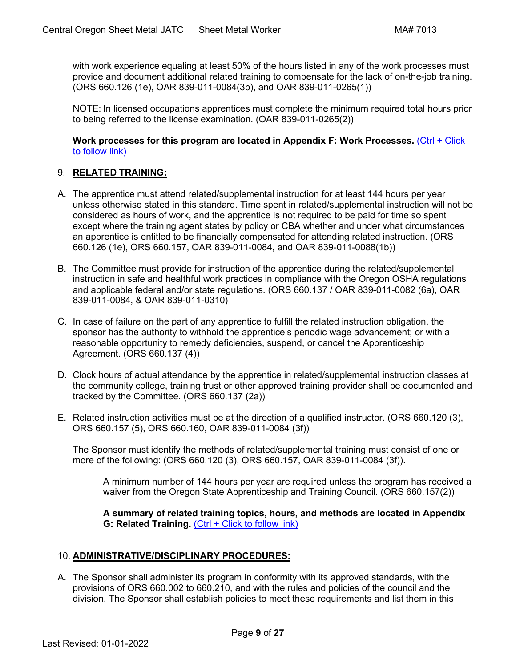with work experience equaling at least 50% of the hours listed in any of the work processes must provide and document additional related training to compensate for the lack of on-the-job training. (ORS 660.126 (1e), OAR 839-011-0084(3b), and OAR 839-011-0265(1))

NOTE: In licensed occupations apprentices must complete the minimum required total hours prior to being referred to the license examination. (OAR 839-011-0265(2))

**[Work processes for this program are located in Appendix F: Work Processes.](#page-24-0)** [\(Ctrl + Click](#page-24-0)  [to follow link\)](#page-24-0)

# <span id="page-8-0"></span>9. **RELATED [TRAINING:](#page-1-0)**

- A. The apprentice must attend related/supplemental instruction for at least 144 hours per year unless otherwise stated in this standard. Time spent in related/supplemental instruction will not be considered as hours of work, and the apprentice is not required to be paid for time so spent except where the training agent states by policy or CBA whether and under what circumstances an apprentice is entitled to be financially compensated for attending related instruction. (ORS 660.126 (1e), ORS 660.157, OAR 839-011-0084, and OAR 839-011-0088(1b))
- B. The Committee must provide for instruction of the apprentice during the related/supplemental instruction in safe and healthful work practices in compliance with the Oregon OSHA regulations and applicable federal and/or state regulations. (ORS 660.137 / OAR 839-011-0082 (6a), OAR 839-011-0084, & OAR 839-011-0310)
- C. In case of failure on the part of any apprentice to fulfill the related instruction obligation, the sponsor has the authority to withhold the apprentice's periodic wage advancement; or with a reasonable opportunity to remedy deficiencies, suspend, or cancel the Apprenticeship Agreement. (ORS 660.137 (4))
- D. Clock hours of actual attendance by the apprentice in related/supplemental instruction classes at the community college, training trust or other approved training provider shall be documented and tracked by the Committee. (ORS 660.137 (2a))
- E. Related instruction activities must be at the direction of a qualified instructor. (ORS 660.120 (3), ORS 660.157 (5), ORS 660.160, OAR 839-011-0084 (3f))

The Sponsor must identify the methods of related/supplemental training must consist of one or more of the following: (ORS 660.120 (3), ORS 660.157, OAR 839-011-0084 (3f)).

A minimum number of 144 hours per year are required unless the program has received a waiver from the Oregon State Apprenticeship and Training Council. (ORS 660.157(2))

**[A summary of related training topics,](#page-25-0) hours, and methods are located in Appendix [G: Related Training.](#page-25-0)** [\(Ctrl + Click to follow link\)](#page-25-0)

#### <span id="page-8-1"></span>10. **[ADMINISTRATIVE/DISCIPLINARY PROCEDURES:](#page-1-0)**

A. The Sponsor shall administer its program in conformity with its approved standards, with the provisions of ORS 660.002 to 660.210, and with the rules and policies of the council and the division. The Sponsor shall establish policies to meet these requirements and list them in this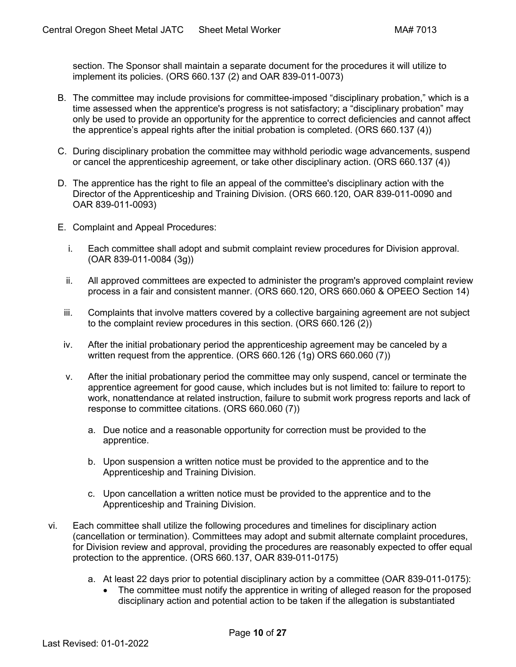section. The Sponsor shall maintain a separate document for the procedures it will utilize to implement its policies. (ORS 660.137 (2) and OAR 839-011-0073)

- B. The committee may include provisions for committee-imposed "disciplinary probation," which is a time assessed when the apprentice's progress is not satisfactory; a "disciplinary probation" may only be used to provide an opportunity for the apprentice to correct deficiencies and cannot affect the apprentice's appeal rights after the initial probation is completed. (ORS 660.137 (4))
- C. During disciplinary probation the committee may withhold periodic wage advancements, suspend or cancel the apprenticeship agreement, or take other disciplinary action. (ORS 660.137 (4))
- D. The apprentice has the right to file an appeal of the committee's disciplinary action with the Director of the Apprenticeship and Training Division. (ORS 660.120, OAR 839-011-0090 and OAR 839-011-0093)
- <span id="page-9-0"></span>E. Complaint and Appeal Procedures:
	- i. Each committee shall adopt and submit complaint review procedures for Division approval. (OAR 839-011-0084 (3g))
	- ii. All approved committees are expected to administer the program's approved complaint review process in a fair and consistent manner. (ORS 660.120, ORS 660.060 & OPEEO Section 14)
	- iii. Complaints that involve matters covered by a collective bargaining agreement are not subject to the complaint review procedures in this section. (ORS 660.126 (2))
	- iv. After the initial probationary period the apprenticeship agreement may be canceled by a written request from the apprentice. (ORS 660.126 (1g) ORS 660.060 (7))
	- v. After the initial probationary period the committee may only suspend, cancel or terminate the apprentice agreement for good cause, which includes but is not limited to: failure to report to work, nonattendance at related instruction, failure to submit work progress reports and lack of response to committee citations. (ORS 660.060 (7))
		- a. Due notice and a reasonable opportunity for correction must be provided to the apprentice.
		- b. Upon suspension a written notice must be provided to the apprentice and to the Apprenticeship and Training Division.
		- c. Upon cancellation a written notice must be provided to the apprentice and to the Apprenticeship and Training Division.
- vi. Each committee shall utilize the following procedures and timelines for disciplinary action (cancellation or termination). Committees may adopt and submit alternate complaint procedures, for Division review and approval, providing the procedures are reasonably expected to offer equal protection to the apprentice. (ORS 660.137, OAR 839-011-0175)
	- a. At least 22 days prior to potential disciplinary action by a committee (OAR 839-011-0175):
		- The committee must notify the apprentice in writing of alleged reason for the proposed disciplinary action and potential action to be taken if the allegation is substantiated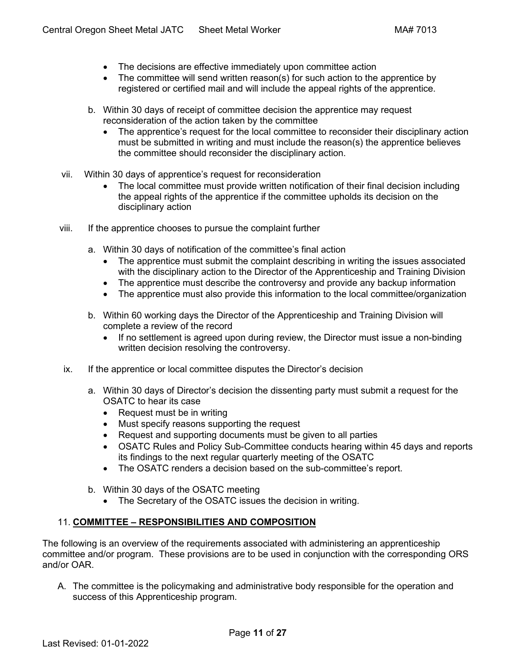- The decisions are effective immediately upon committee action
- The committee will send written reason(s) for such action to the apprentice by registered or certified mail and will include the appeal rights of the apprentice.
- b. Within 30 days of receipt of committee decision the apprentice may request reconsideration of the action taken by the committee
	- The apprentice's request for the local committee to reconsider their disciplinary action must be submitted in writing and must include the reason(s) the apprentice believes the committee should reconsider the disciplinary action.
- vii. Within 30 days of apprentice's request for reconsideration
	- The local committee must provide written notification of their final decision including the appeal rights of the apprentice if the committee upholds its decision on the disciplinary action
- viii. If the apprentice chooses to pursue the complaint further
	- a. Within 30 days of notification of the committee's final action
		- The apprentice must submit the complaint describing in writing the issues associated with the disciplinary action to the Director of the Apprenticeship and Training Division
		- The apprentice must describe the controversy and provide any backup information
		- The apprentice must also provide this information to the local committee/organization
	- b. Within 60 working days the Director of the Apprenticeship and Training Division will complete a review of the record
		- If no settlement is agreed upon during review, the Director must issue a non-binding written decision resolving the controversy.
- ix. If the apprentice or local committee disputes the Director's decision
	- a. Within 30 days of Director's decision the dissenting party must submit a request for the OSATC to hear its case
		- Request must be in writing
		- Must specify reasons supporting the request
		- Request and supporting documents must be given to all parties
		- OSATC Rules and Policy Sub-Committee conducts hearing within 45 days and reports its findings to the next regular quarterly meeting of the OSATC
		- The OSATC renders a decision based on the sub-committee's report.
	- b. Within 30 days of the OSATC meeting
		- The Secretary of the OSATC issues the decision in writing.

# <span id="page-10-0"></span>11. **COMMITTEE – [RESPONSIBILITIES AND COMPOSITION](#page-1-0)**

The following is an overview of the requirements associated with administering an apprenticeship committee and/or program. These provisions are to be used in conjunction with the corresponding ORS and/or OAR.

A. The committee is the policymaking and administrative body responsible for the operation and success of this Apprenticeship program.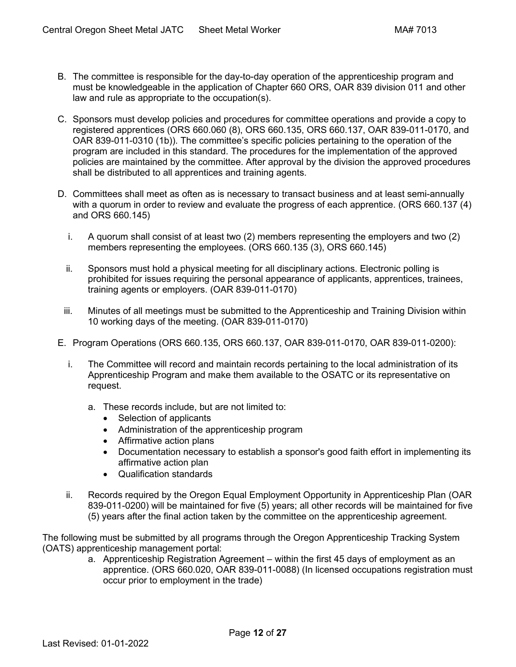- B. The committee is responsible for the day-to-day operation of the apprenticeship program and must be knowledgeable in the application of Chapter 660 ORS, OAR 839 division 011 and other law and rule as appropriate to the occupation(s).
- C. Sponsors must develop policies and procedures for committee operations and provide a copy to registered apprentices (ORS 660.060 (8), ORS 660.135, ORS 660.137, OAR 839-011-0170, and OAR 839-011-0310 (1b)). The committee's specific policies pertaining to the operation of the program are included in this standard. The procedures for the implementation of the approved policies are maintained by the committee. After approval by the division the approved procedures shall be distributed to all apprentices and training agents.
- D. Committees shall meet as often as is necessary to transact business and at least semi-annually with a quorum in order to review and evaluate the progress of each apprentice. (ORS 660.137 (4) and ORS 660.145)
	- i. A quorum shall consist of at least two (2) members representing the employers and two (2) members representing the employees. (ORS 660.135 (3), ORS 660.145)
	- ii. Sponsors must hold a physical meeting for all disciplinary actions. Electronic polling is prohibited for issues requiring the personal appearance of applicants, apprentices, trainees, training agents or employers. (OAR 839-011-0170)
	- iii. Minutes of all meetings must be submitted to the Apprenticeship and Training Division within 10 working days of the meeting. (OAR 839-011-0170)
- <span id="page-11-0"></span>E. Program Operations (ORS 660.135, ORS 660.137, OAR 839-011-0170, OAR 839-011-0200):
	- i. The Committee will record and maintain records pertaining to the local administration of its Apprenticeship Program and make them available to the OSATC or its representative on request.
		- a. These records include, but are not limited to:
			- Selection of applicants
			- Administration of the apprenticeship program
			- Affirmative action plans
			- Documentation necessary to establish a sponsor's good faith effort in implementing its affirmative action plan
			- Qualification standards
	- ii. Records required by the Oregon Equal Employment Opportunity in Apprenticeship Plan (OAR 839-011-0200) will be maintained for five (5) years; all other records will be maintained for five (5) years after the final action taken by the committee on the apprenticeship agreement.

The following must be submitted by all programs through the Oregon Apprenticeship Tracking System (OATS) apprenticeship management portal:

a. Apprenticeship Registration Agreement – within the first 45 days of employment as an apprentice. (ORS 660.020, OAR 839-011-0088) (In licensed occupations registration must occur prior to employment in the trade)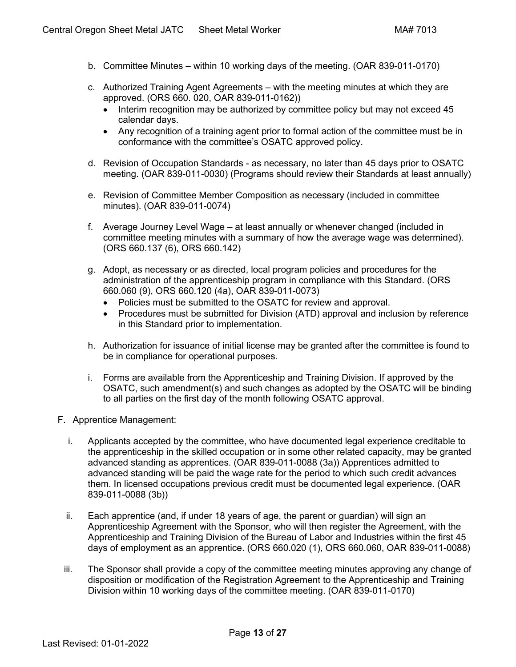- b. Committee Minutes within 10 working days of the meeting. (OAR 839-011-0170)
- c. Authorized Training Agent Agreements with the meeting minutes at which they are approved. (ORS 660. 020, OAR 839-011-0162))
	- Interim recognition may be authorized by committee policy but may not exceed 45 calendar days.
	- Any recognition of a training agent prior to formal action of the committee must be in conformance with the committee's OSATC approved policy.
- d. Revision of Occupation Standards as necessary, no later than 45 days prior to OSATC meeting. (OAR 839-011-0030) (Programs should review their Standards at least annually)
- e. Revision of Committee Member Composition as necessary (included in committee minutes). (OAR 839-011-0074)
- f. Average Journey Level Wage at least annually or whenever changed (included in committee meeting minutes with a summary of how the average wage was determined). (ORS 660.137 (6), ORS 660.142)
- g. Adopt, as necessary or as directed, local program policies and procedures for the administration of the apprenticeship program in compliance with this Standard. (ORS 660.060 (9), ORS 660.120 (4a), OAR 839-011-0073)
	- Policies must be submitted to the OSATC for review and approval.
	- Procedures must be submitted for Division (ATD) approval and inclusion by reference in this Standard prior to implementation.
- h. Authorization for issuance of initial license may be granted after the committee is found to be in compliance for operational purposes.
- i. Forms are available from the Apprenticeship and Training Division. If approved by the OSATC, such amendment(s) and such changes as adopted by the OSATC will be binding to all parties on the first day of the month following OSATC approval.
- <span id="page-12-0"></span>F. Apprentice Management:
	- i. Applicants accepted by the committee, who have documented legal experience creditable to the apprenticeship in the skilled occupation or in some other related capacity, may be granted advanced standing as apprentices. (OAR 839-011-0088 (3a)) Apprentices admitted to advanced standing will be paid the wage rate for the period to which such credit advances them. In licensed occupations previous credit must be documented legal experience. (OAR 839-011-0088 (3b))
	- ii. Each apprentice (and, if under 18 years of age, the parent or guardian) will sign an Apprenticeship Agreement with the Sponsor, who will then register the Agreement, with the Apprenticeship and Training Division of the Bureau of Labor and Industries within the first 45 days of employment as an apprentice. (ORS 660.020 (1), ORS 660.060, OAR 839-011-0088)
	- iii. The Sponsor shall provide a copy of the committee meeting minutes approving any change of disposition or modification of the Registration Agreement to the Apprenticeship and Training Division within 10 working days of the committee meeting. (OAR 839-011-0170)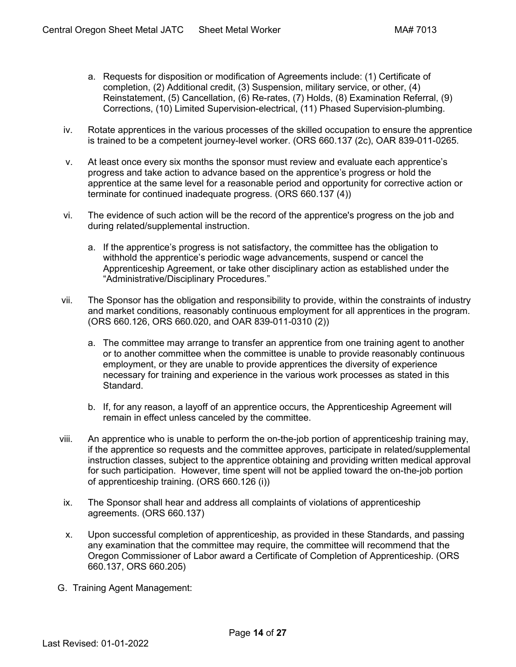- a. Requests for disposition or modification of Agreements include: (1) Certificate of completion, (2) Additional credit, (3) Suspension, military service, or other, (4) Reinstatement, (5) Cancellation, (6) Re-rates, (7) Holds, (8) Examination Referral, (9) Corrections, (10) Limited Supervision-electrical, (11) Phased Supervision-plumbing.
- iv. Rotate apprentices in the various processes of the skilled occupation to ensure the apprentice is trained to be a competent journey-level worker. (ORS 660.137 (2c), OAR 839-011-0265.
- v. At least once every six months the sponsor must review and evaluate each apprentice's progress and take action to advance based on the apprentice's progress or hold the apprentice at the same level for a reasonable period and opportunity for corrective action or terminate for continued inadequate progress. (ORS 660.137 (4))
- vi. The evidence of such action will be the record of the apprentice's progress on the job and during related/supplemental instruction.
	- a. If the apprentice's progress is not satisfactory, the committee has the obligation to withhold the apprentice's periodic wage advancements, suspend or cancel the Apprenticeship Agreement, or take other disciplinary action as established under the "Administrative/Disciplinary Procedures."
- vii. The Sponsor has the obligation and responsibility to provide, within the constraints of industry and market conditions, reasonably continuous employment for all apprentices in the program. (ORS 660.126, ORS 660.020, and OAR 839-011-0310 (2))
	- a. The committee may arrange to transfer an apprentice from one training agent to another or to another committee when the committee is unable to provide reasonably continuous employment, or they are unable to provide apprentices the diversity of experience necessary for training and experience in the various work processes as stated in this Standard.
	- b. If, for any reason, a layoff of an apprentice occurs, the Apprenticeship Agreement will remain in effect unless canceled by the committee.
- viii. An apprentice who is unable to perform the on-the-job portion of apprenticeship training may, if the apprentice so requests and the committee approves, participate in related/supplemental instruction classes, subject to the apprentice obtaining and providing written medical approval for such participation. However, time spent will not be applied toward the on-the-job portion of apprenticeship training. (ORS 660.126 (i))
- ix. The Sponsor shall hear and address all complaints of violations of apprenticeship agreements. (ORS 660.137)
- x. Upon successful completion of apprenticeship, as provided in these Standards, and passing any examination that the committee may require, the committee will recommend that the Oregon Commissioner of Labor award a Certificate of Completion of Apprenticeship. (ORS 660.137, ORS 660.205)
- <span id="page-13-0"></span>G. Training Agent Management: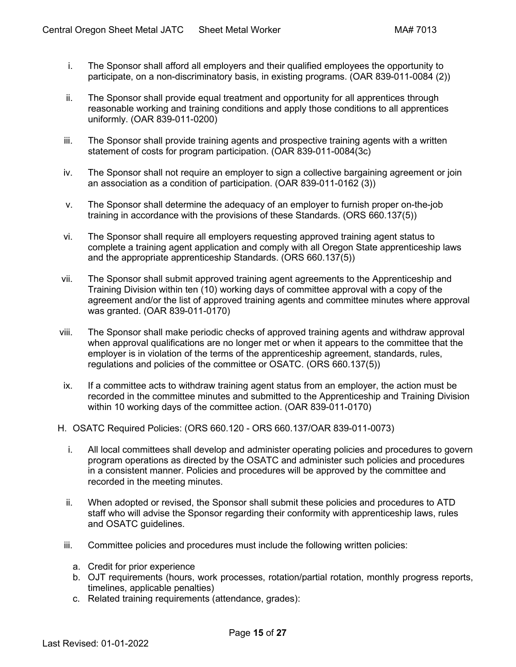- i. The Sponsor shall afford all employers and their qualified employees the opportunity to participate, on a non-discriminatory basis, in existing programs. (OAR 839-011-0084 (2))
- ii. The Sponsor shall provide equal treatment and opportunity for all apprentices through reasonable working and training conditions and apply those conditions to all apprentices uniformly. (OAR 839-011-0200)
- iii. The Sponsor shall provide training agents and prospective training agents with a written statement of costs for program participation. (OAR 839-011-0084(3c)
- iv. The Sponsor shall not require an employer to sign a collective bargaining agreement or join an association as a condition of participation. (OAR 839-011-0162 (3))
- v. The Sponsor shall determine the adequacy of an employer to furnish proper on-the-job training in accordance with the provisions of these Standards. (ORS 660.137(5))
- vi. The Sponsor shall require all employers requesting approved training agent status to complete a training agent application and comply with all Oregon State apprenticeship laws and the appropriate apprenticeship Standards. (ORS 660.137(5))
- vii. The Sponsor shall submit approved training agent agreements to the Apprenticeship and Training Division within ten (10) working days of committee approval with a copy of the agreement and/or the list of approved training agents and committee minutes where approval was granted. (OAR 839-011-0170)
- viii. The Sponsor shall make periodic checks of approved training agents and withdraw approval when approval qualifications are no longer met or when it appears to the committee that the employer is in violation of the terms of the apprenticeship agreement, standards, rules, regulations and policies of the committee or OSATC. (ORS 660.137(5))
- ix. If a committee acts to withdraw training agent status from an employer, the action must be recorded in the committee minutes and submitted to the Apprenticeship and Training Division within 10 working days of the committee action. (OAR 839-011-0170)
- <span id="page-14-0"></span>H. OSATC Required Policies: (ORS 660.120 - ORS 660.137/OAR 839-011-0073)
	- i. All local committees shall develop and administer operating policies and procedures to govern program operations as directed by the OSATC and administer such policies and procedures in a consistent manner. Policies and procedures will be approved by the committee and recorded in the meeting minutes.
	- ii. When adopted or revised, the Sponsor shall submit these policies and procedures to ATD staff who will advise the Sponsor regarding their conformity with apprenticeship laws, rules and OSATC guidelines.
	- iii. Committee policies and procedures must include the following written policies:
		- a. Credit for prior experience
		- b. OJT requirements (hours, work processes, rotation/partial rotation, monthly progress reports, timelines, applicable penalties)
		- c. Related training requirements (attendance, grades):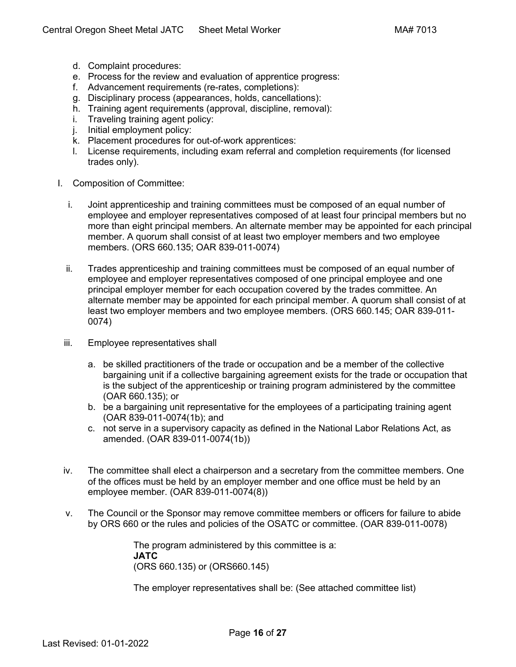- d. Complaint procedures:
- e. Process for the review and evaluation of apprentice progress:
- f. Advancement requirements (re-rates, completions):
- g. Disciplinary process (appearances, holds, cancellations):
- h. Training agent requirements (approval, discipline, removal):
- i. Traveling training agent policy:
- j. Initial employment policy:
- k. Placement procedures for out-of-work apprentices:
- l. License requirements, including exam referral and completion requirements (for licensed trades only).
- I. Composition of Committee:
	- i. Joint apprenticeship and training committees must be composed of an equal number of employee and employer representatives composed of at least four principal members but no more than eight principal members. An alternate member may be appointed for each principal member. A quorum shall consist of at least two employer members and two employee members. (ORS 660.135; OAR 839-011-0074)
	- ii. Trades apprenticeship and training committees must be composed of an equal number of employee and employer representatives composed of one principal employee and one principal employer member for each occupation covered by the trades committee. An alternate member may be appointed for each principal member. A quorum shall consist of at least two employer members and two employee members. (ORS 660.145; OAR 839-011- 0074)
	- iii. Employee representatives shall
		- a. be skilled practitioners of the trade or occupation and be a member of the collective bargaining unit if a collective bargaining agreement exists for the trade or occupation that is the subject of the apprenticeship or training program administered by the committee (OAR 660.135); or
		- b. be a bargaining unit representative for the employees of a participating training agent (OAR 839-011-0074(1b); and
		- c. not serve in a supervisory capacity as defined in the National Labor Relations Act, as amended. (OAR 839-011-0074(1b))
	- iv. The committee shall elect a chairperson and a secretary from the committee members. One of the offices must be held by an employer member and one office must be held by an employee member. (OAR 839-011-0074(8))
	- v. The Council or the Sponsor may remove committee members or officers for failure to abide by ORS 660 or the rules and policies of the OSATC or committee. (OAR 839-011-0078)

The program administered by this committee is a: **JATC** (ORS 660.135) or (ORS660.145)

The employer representatives shall be: (See attached committee list)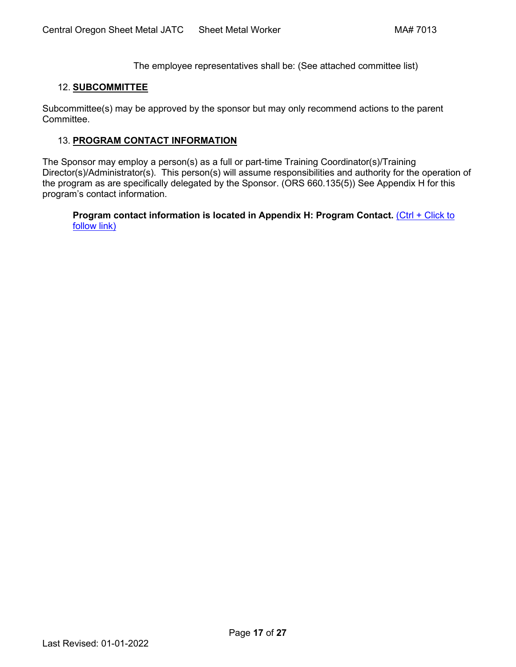The employee representatives shall be: (See attached committee list)

# <span id="page-16-0"></span>12. **[SUBCOMMITTEE](#page-1-0)**

Subcommittee(s) may be approved by the sponsor but may only recommend actions to the parent Committee.

## <span id="page-16-1"></span>13. **[PROGRAM CONTACT INFORMATION](#page-1-0)**

The Sponsor may employ a person(s) as a full or part-time Training Coordinator(s)/Training Director(s)/Administrator(s). This person(s) will assume responsibilities and authority for the operation of the program as are specifically delegated by the Sponsor. (ORS 660.135(5)) See Appendix H for this [program's contact information.](#page-26-0)

**[Program contact information is located in Appendix H: Program Contact.](#page-26-0)** (Ctrl + Click to [follow link\)](#page-26-0)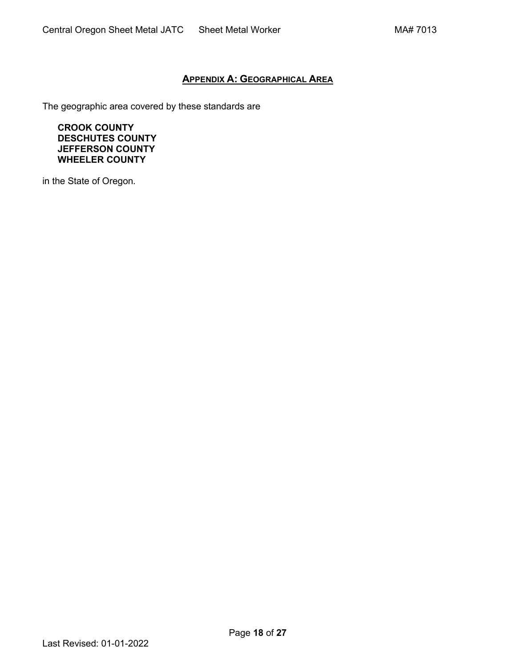# **APPENDIX A: [GEOGRAPHICAL AREA](#page-0-0)**

<span id="page-17-0"></span>The geographic area covered by these standards are

**CROOK COUNTY DESCHUTES COUNTY JEFFERSON COUNTY WHEELER COUNTY**

in the State of Oregon.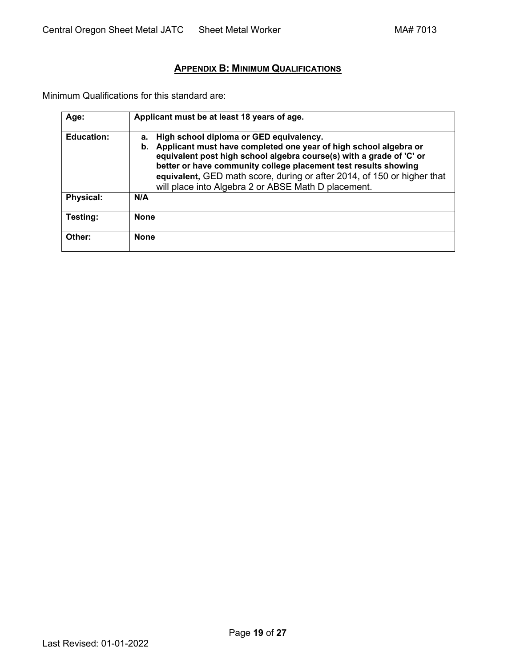# **APPENDIX B: [MINIMUM QUALIFICATIONS](#page-1-0)**

<span id="page-18-0"></span>Minimum Qualifications for this standard are:

| Age:              | Applicant must be at least 18 years of age.                                                                                                                                                                                                                                                                                                                                                          |
|-------------------|------------------------------------------------------------------------------------------------------------------------------------------------------------------------------------------------------------------------------------------------------------------------------------------------------------------------------------------------------------------------------------------------------|
| <b>Education:</b> | High school diploma or GED equivalency.<br>а.<br>Applicant must have completed one year of high school algebra or<br>b.<br>equivalent post high school algebra course(s) with a grade of 'C' or<br>better or have community college placement test results showing<br>equivalent, GED math score, during or after 2014, of 150 or higher that<br>will place into Algebra 2 or ABSE Math D placement. |
| <b>Physical:</b>  | N/A                                                                                                                                                                                                                                                                                                                                                                                                  |
| Testing:          | <b>None</b>                                                                                                                                                                                                                                                                                                                                                                                          |
| Other:            | <b>None</b>                                                                                                                                                                                                                                                                                                                                                                                          |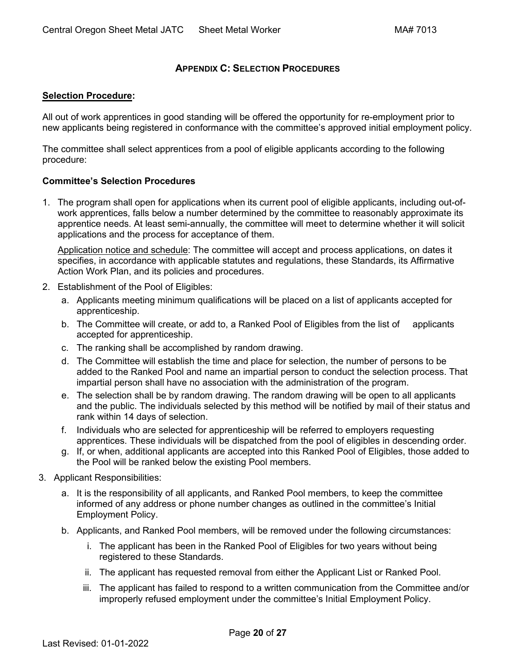# **APPENDIX C: [SELECTION PROCEDURES](#page-1-0)**

#### <span id="page-19-0"></span>**Selection Procedure:**

All out of work apprentices in good standing will be offered the opportunity for re-employment prior to new applicants being registered in conformance with the committee's approved initial employment policy.

The committee shall select apprentices from a pool of eligible applicants according to the following procedure:

## **Committee's Selection Procedures**

1. The program shall open for applications when its current pool of eligible applicants, including out-ofwork apprentices, falls below a number determined by the committee to reasonably approximate its apprentice needs. At least semi-annually, the committee will meet to determine whether it will solicit applications and the process for acceptance of them.

Application notice and schedule: The committee will accept and process applications, on dates it specifies, in accordance with applicable statutes and regulations, these Standards, its Affirmative Action Work Plan, and its policies and procedures.

- 2. Establishment of the Pool of Eligibles:
	- a. Applicants meeting minimum qualifications will be placed on a list of applicants accepted for apprenticeship.
	- b. The Committee will create, or add to, a Ranked Pool of Eligibles from the list of applicants accepted for apprenticeship.
	- c. The ranking shall be accomplished by random drawing.
	- d. The Committee will establish the time and place for selection, the number of persons to be added to the Ranked Pool and name an impartial person to conduct the selection process. That impartial person shall have no association with the administration of the program.
	- e. The selection shall be by random drawing. The random drawing will be open to all applicants and the public. The individuals selected by this method will be notified by mail of their status and rank within 14 days of selection.
	- f. Individuals who are selected for apprenticeship will be referred to employers requesting apprentices. These individuals will be dispatched from the pool of eligibles in descending order.
	- g. If, or when, additional applicants are accepted into this Ranked Pool of Eligibles, those added to the Pool will be ranked below the existing Pool members.
- 3. Applicant Responsibilities:
	- a. It is the responsibility of all applicants, and Ranked Pool members, to keep the committee informed of any address or phone number changes as outlined in the committee's Initial Employment Policy.
	- b. Applicants, and Ranked Pool members, will be removed under the following circumstances:
		- i. The applicant has been in the Ranked Pool of Eligibles for two years without being registered to these Standards.
		- ii. The applicant has requested removal from either the Applicant List or Ranked Pool.
		- iii. The applicant has failed to respond to a written communication from the Committee and/or improperly refused employment under the committee's Initial Employment Policy.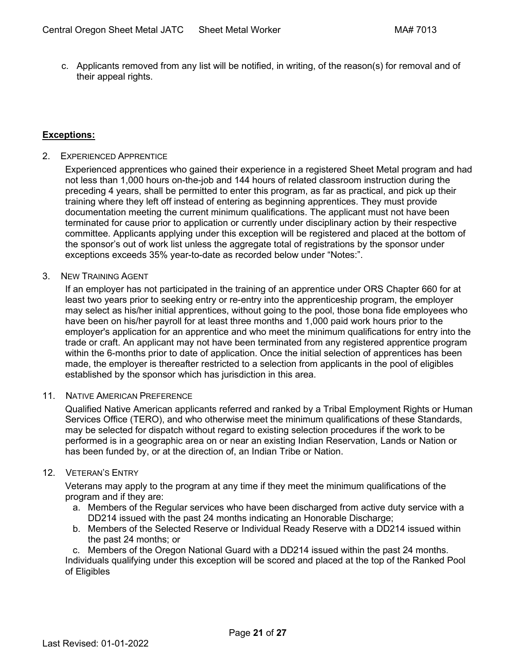c. Applicants removed from any list will be notified, in writing, of the reason(s) for removal and of their appeal rights.

# **Exceptions:**

2. EXPERIENCED APPRENTICE

Experienced apprentices who gained their experience in a registered Sheet Metal program and had not less than 1,000 hours on-the-job and 144 hours of related classroom instruction during the preceding 4 years, shall be permitted to enter this program, as far as practical, and pick up their training where they left off instead of entering as beginning apprentices. They must provide documentation meeting the current minimum qualifications. The applicant must not have been terminated for cause prior to application or currently under disciplinary action by their respective committee. Applicants applying under this exception will be registered and placed at the bottom of the sponsor's out of work list unless the aggregate total of registrations by the sponsor under exceptions exceeds 35% year-to-date as recorded below under "Notes:".

#### 3. NEW TRAINING AGENT

If an employer has not participated in the training of an apprentice under ORS Chapter 660 for at least two years prior to seeking entry or re-entry into the apprenticeship program, the employer may select as his/her initial apprentices, without going to the pool, those bona fide employees who have been on his/her payroll for at least three months and 1,000 paid work hours prior to the employer's application for an apprentice and who meet the minimum qualifications for entry into the trade or craft. An applicant may not have been terminated from any registered apprentice program within the 6-months prior to date of application. Once the initial selection of apprentices has been made, the employer is thereafter restricted to a selection from applicants in the pool of eligibles established by the sponsor which has jurisdiction in this area.

#### 11. NATIVE AMERICAN PREFERENCE

Qualified Native American applicants referred and ranked by a Tribal Employment Rights or Human Services Office (TERO), and who otherwise meet the minimum qualifications of these Standards, may be selected for dispatch without regard to existing selection procedures if the work to be performed is in a geographic area on or near an existing Indian Reservation, Lands or Nation or has been funded by, or at the direction of, an Indian Tribe or Nation.

#### 12. VETERAN'S ENTRY

Veterans may apply to the program at any time if they meet the minimum qualifications of the program and if they are:

- a. Members of the Regular services who have been discharged from active duty service with a DD214 issued with the past 24 months indicating an Honorable Discharge;
- b. Members of the Selected Reserve or Individual Ready Reserve with a DD214 issued within the past 24 months; or

c. Members of the Oregon National Guard with a DD214 issued within the past 24 months.

Individuals qualifying under this exception will be scored and placed at the top of the Ranked Pool of Eligibles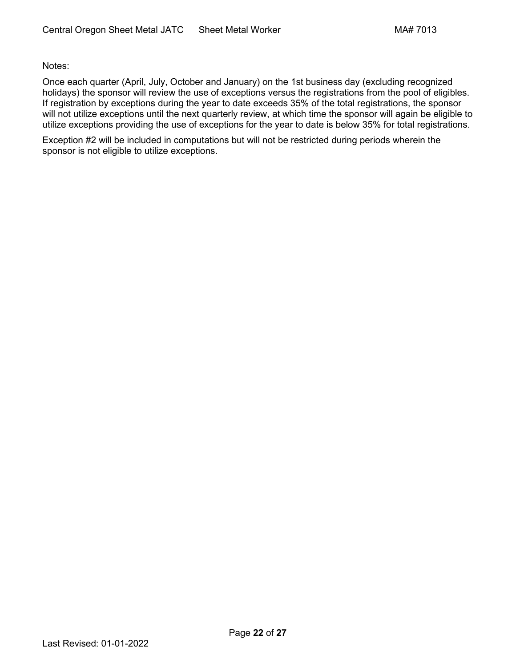Notes:

Once each quarter (April, July, October and January) on the 1st business day (excluding recognized holidays) the sponsor will review the use of exceptions versus the registrations from the pool of eligibles. If registration by exceptions during the year to date exceeds 35% of the total registrations, the sponsor will not utilize exceptions until the next quarterly review, at which time the sponsor will again be eligible to utilize exceptions providing the use of exceptions for the year to date is below 35% for total registrations.

Exception #2 will be included in computations but will not be restricted during periods wherein the sponsor is not eligible to utilize exceptions.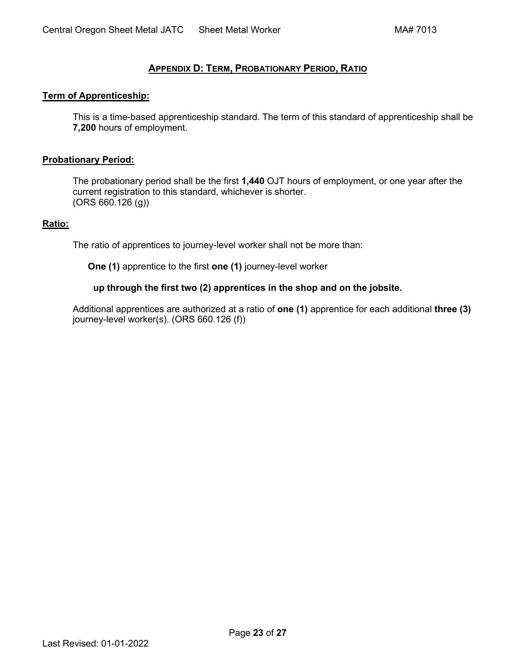# **APPENDIX D: TERM, [PROBATIONARY PERIOD,](#page-1-0) RATIO**

#### <span id="page-22-0"></span>**Term of Apprenticeship:**

This is a time-based apprenticeship standard. The term of this standard of apprenticeship shall be **7,200** hours of employment.

#### **Probationary Period:**

The probationary period shall be the first **1,440** OJT hours of employment, or one year after the current registration to this standard, whichever is shorter. (ORS 660.126 (g))

#### **Ratio:**

The ratio of apprentices to journey-level worker shall not be more than:

**One (1)** apprentice to the first **one (1)** journey-level worker

## **up through the first two (2) apprentices in the shop and on the jobsite.**

Additional apprentices are authorized at a ratio of **one (1)** apprentice for each additional **three (3)** journey-level worker(s). (ORS 660.126 (f))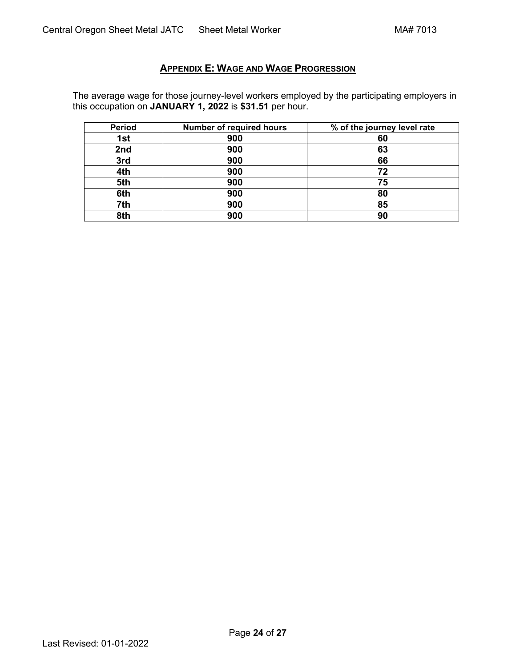# **APPENDIX E: [WAGE AND WAGE PROGRESSION](#page-1-0)**

<span id="page-23-0"></span>The average wage for those journey-level workers employed by the participating employers in this occupation on **JANUARY 1, 2022** is **\$31.51** per hour.

| <b>Period</b> | <b>Number of required hours</b> | % of the journey level rate |
|---------------|---------------------------------|-----------------------------|
| 1st           | 900                             | 60                          |
| 2nd           | 900                             | 63                          |
| 3rd           | 900                             | 66                          |
| 4th           | 900                             | 72                          |
| 5th           | 900                             | 75                          |
| 6th           | 900                             | 80                          |
| 7th           | 900                             | 85                          |
| 8th           | 900                             | 90                          |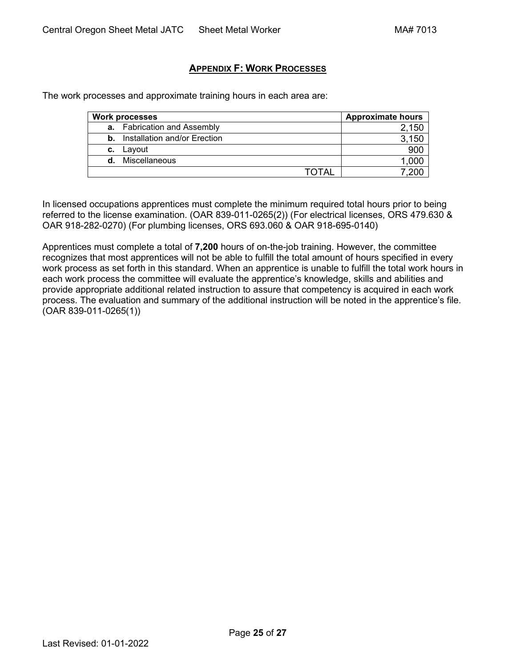# **APPENDIX F: [WORK PROCESSES](#page-1-0)**

<span id="page-24-0"></span>The work processes and approximate training hours in each area are:

|    | <b>Work processes</b>                  | <b>Approximate hours</b> |
|----|----------------------------------------|--------------------------|
|    | <b>a.</b> Fabrication and Assembly     | 150                      |
|    | <b>b.</b> Installation and/or Erection | 150                      |
| c. | Layout                                 | 900                      |
| d. | Miscellaneous                          | 1,000                    |
|    | ΤΩΤΔΙ                                  |                          |

In licensed occupations apprentices must complete the minimum required total hours prior to being referred to the license examination. (OAR 839-011-0265(2)) (For electrical licenses, ORS 479.630 & OAR 918-282-0270) (For plumbing licenses, ORS 693.060 & OAR 918-695-0140)

Apprentices must complete a total of **7,200** hours of on-the-job training. However, the committee recognizes that most apprentices will not be able to fulfill the total amount of hours specified in every work process as set forth in this standard. When an apprentice is unable to fulfill the total work hours in each work process the committee will evaluate the apprentice's knowledge, skills and abilities and provide appropriate additional related instruction to assure that competency is acquired in each work process. The evaluation and summary of the additional instruction will be noted in the apprentice's file. (OAR 839-011-0265(1))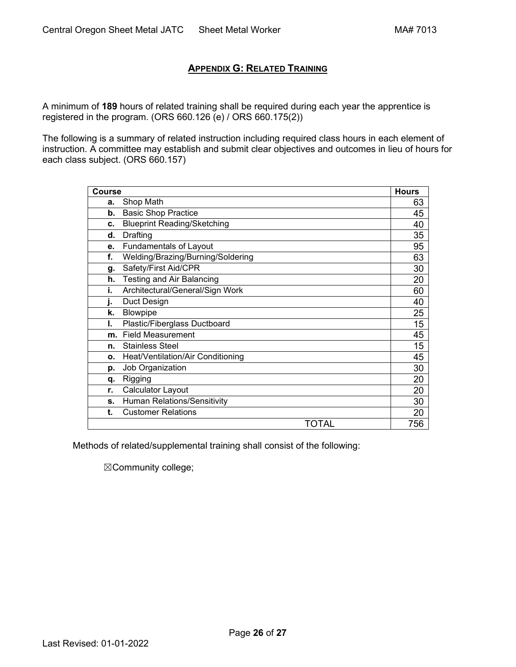# **APPENDIX G: [RELATED TRAINING](#page-1-0)**

<span id="page-25-0"></span>A minimum of **189** hours of related training shall be required during each year the apprentice is registered in the program. (ORS 660.126 (e) / ORS 660.175(2))

The following is a summary of related instruction including required class hours in each element of instruction. A committee may establish and submit clear objectives and outcomes in lieu of hours for each class subject. (ORS 660.157)

| <b>Course</b> |                                    | <b>Hours</b> |
|---------------|------------------------------------|--------------|
| a.            | Shop Math                          | 63           |
| b.            | <b>Basic Shop Practice</b>         | 45           |
| c.            | <b>Blueprint Reading/Sketching</b> | 40           |
| d.            | Drafting                           | 35           |
| e.            | <b>Fundamentals of Layout</b>      | 95           |
| f.            | Welding/Brazing/Burning/Soldering  | 63           |
| g.            | Safety/First Aid/CPR               | 30           |
| h.            | <b>Testing and Air Balancing</b>   | 20           |
| i.            | Architectural/General/Sign Work    | 60           |
| i.            | Duct Design                        | 40           |
| k.            | Blowpipe                           | 25           |
| ı.            | Plastic/Fiberglass Ductboard       | 15           |
| m.            | <b>Field Measurement</b>           | 45           |
| n.            | <b>Stainless Steel</b>             | 15           |
| 0.            | Heat/Ventilation/Air Conditioning  | 45           |
| p.            | Job Organization                   | 30           |
| q.            | Rigging                            | 20           |
| r.            | Calculator Layout                  | 20           |
| S.            | Human Relations/Sensitivity        | 30           |
| t.            | <b>Customer Relations</b>          | 20           |
|               | TOTAL                              | 756          |

Methods of related/supplemental training shall consist of the following:

☒Community college;